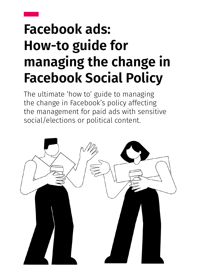# **Facebook ads: How-to guide for managing the change in Facebook Social Policy**

The ultimate 'how to' guide to managing the change in Facebook's policy affecting the management for paid ads with sensitive social/elections or political content.

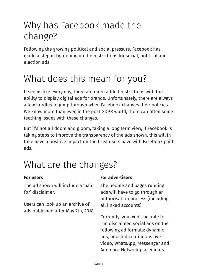# Why has Facebook made the change?

Following the growing political and social pressure, Facebook has made a step in tightening up the restrictions for social, political and election ads.

# What does this mean for you?

It seems like every day, there are more added restrictions with the ability to display digital ads for brands. Unfortunately, there are always a few hurdles to jump through when Facebook changes their policies. We know more than ever, in the post GDPR world, there can often some teething issues with these changes.

But it's not all doom and gloom, taking a long term view, if Facebook is taking steps to improve the transparency of the ads shown, this will in time have a positive impact on the trust users have with Facebook paid ads.

# What are the changes?

The ad shown will include a 'paid for' disclaimer.

Users can look up an archive of all linked accounts). ads published after May 7th, 2018.

#### **For users For advertisers**

The people and pages running ads will have to go through an authorisation process (including

Currently, you won't be able to run disclaimed social ads on the following ad formats: dynamic ads, boosted continuous live video, WhatsApp, Messenger and Audience Network placements.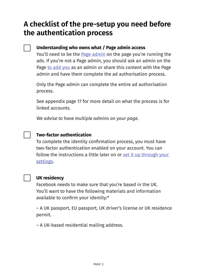### **A checklist of the pre-setup you need before the authentication process**

#### **Understanding who owns what / Page admin access**

You'll need to be the **Page admin** on the page you're running the ads. If you're not a Page admin, you should ask an admin on the Page [to add you](https://www.facebook.com/help/187316341316631) as an admin or share this content with the Page admin and have them complete the ad authorisation process.

Only the Page admin can complete the entire ad authorisation process.

See appendix page 17 for more detail on what the process is for linked accounts.

*We advise to have multiple admins on your page.*

#### **Two-factor authentication**

To complete the identity confirmation process, you must have two-factor authentication enabled on your account. You can follow the instructions a little later on or set it up through your [settings.](https://www.facebook.com/help/148233965247823)



#### **UK residency**

Facebook needs to make sure that you're based in the UK. You'll want to have the following materials and information available to confirm your identity:\*

– A UK passport, EU passport, UK driver's license or UK residence permit.

– A UK-based residential mailing address.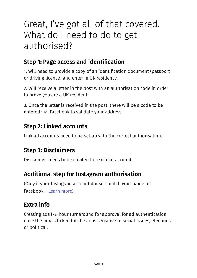# Great, I've got all of that covered. What do I need to do to get authorised?

### **Step 1: Page access and identification**

1. Will need to provide a copy of an identification document (passport or driving licence) and enter in UK residency.

2. Will receive a letter in the post with an authorisation code in order to prove you are a UK resident.

3. Once the letter is received in the post, there will be a code to be entered via. Facebook to validate your address.

### **Step 2: Linked accounts**

Link ad accounts need to be set up with the correct authorisation.

### **Step 3: Disclaimers**

Disclaimer needs to be created for each ad account.

### **Additional step for Instagram authorisation**

(Only if your Instagram account doesn't match your name on Facebook – [Learn more\)](https://www.facebook.com/business/help/208949576550051?id=288762101909005).

### **Extra info**

Creating ads (72-hour turnaround for approval for ad authentication once the box is ticked for the ad is sensitive to social issues, elections or political.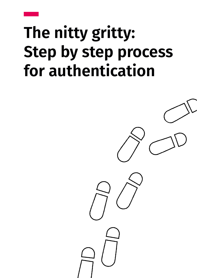# **The nitty gritty: Step by step process for authentication**

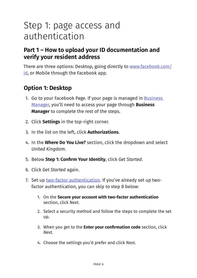# Step 1: page access and authentication

### **Part 1 – How to upload your ID documentation and verify your resident address**

There are three options: Desktop, going directly to [www.facebook.com/](http://www.facebook.com/id) [id](http://www.facebook.com/id), or Mobile through the Facebook app.

### **Option 1: Desktop**

- 1. Go to your Facebook Page. If your page is managed in **Business** [Manager](https://business.facebook.com/), you'll need to access your page through **Business Manager** to complete the rest of the steps.
- 2. Click **Settings** in the top-right corner.
- 3. In the list on the left, click **Authorizations**.
- 4. In the **Where Do You Live?** section, click the dropdown and select *United Kingdom*.
- 5. Below **Step 1: Confirm Your Identity**, click *Get Started*.
- 6. Click *Get Started* again.
- 7. Set up [two-factor authentication](https://www.facebook.com/help/148233965247823). If you've already set up twofactor authentication, you can skip to step 8 below:
	- 1. On the **Secure your account with two-factor authentication** section, click *Next*.
	- 2. Select a security method and follow the steps to complete the set up.
	- 3. When you get to the **Enter your confirmation code** section, click *Next*.
	- 4. Choose the settings you'd prefer and click *Next*.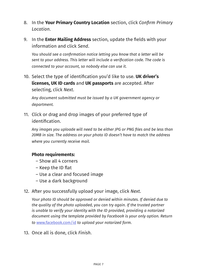- 8. In the **Your Primary Country Location** section, click *Confirm Primary Location*.
- 9. In the **Enter Mailing Address** section, update the fields with your information and click *Send*.

*You should see a confirmation notice letting you know that a letter will be sent to your address. This letter will include a verification code. The code is connected to your account, so nobody else can use it.*

10. Select the type of identification you'd like to use. **UK driver's licenses, UK ID cards** and **UK passports** are accepted. After selecting, click *Next*.

*Any document submitted must be issued by a UK government agency or department.*

11. Click or drag and drop images of your preferred type of identification.

*Any images you uploade will need to be either JPG or PNG files and be less than 20MB in size. The address on your photo ID doesn't have to match the address where you currently receive mail.*

#### **Photo requirements:**

- Show all 4 corners
- Keep the ID flat
- Use a clear and focused image
- Use a dark background
- 12. After you successfully upload your image, click *Next*.

*Your photo ID should be approved or denied within minutes. If denied due to the quality of the photo uploaded, you can try again. If the trusted partner is unable to verify your identity with the ID provided, providing a notarized document using the template provided by Facebook is your only option. Return to* [www.facebook.com/id](http://www.facebook.com/id) *to upload your notarized form.*

13. Once all is done, click *Finish*.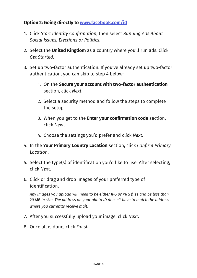#### **Option 2: Going directly to [www.facebook.com/id](http://www.facebook.com/id)**

- 1. Click *Start Identity Confirmation*, then select *Running Ads About Social Issues, Elections or Politics*.
- 2. Select the **United Kingdom** as a country where you'll run ads. Click *Get Started*.
- 3. Set up two-factor authentication. If you've already set up two-factor authentication, you can skip to step 4 below:
	- 1. On the **Secure your account with two-factor authentication** section, click *Next*.
	- 2. Select a security method and follow the steps to complete the setup.
	- 3. When you get to the **Enter your confirmation code** section, click *Next*.
	- 4. Choose the settings you'd prefer and click *Next*.
- 4. In the **Your Primary Country Location** section, click *Confirm Primary Location*.
- 5. Select the type(s) of identification you'd like to use. After selecting, click *Next*.
- 6. Click or drag and drop images of your preferred type of identification.

*Any images you upload will need to be either JPG or PNG files and be less than 20 MB in size. The address on your photo ID doesn't have to match the address where you currently receive mail.*

- 7. After you successfully upload your image, click *Next*.
- 8. Once all is done, click *Finish*.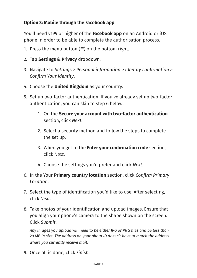#### **Option 3: Mobile through the Facebook app**

You'll need v199 or higher of the **Facebook app** on an Android or iOS phone in order to be able to complete the authorisation process.

- 1. Press the menu button  $(\equiv)$  on the bottom right.
- 2. Tap **Settings & Privacy** dropdown.
- 3. Navigate to *Settings > Personal information > Identity confirmation > Confirm Your Identity*.
- 4. Choose the **United Kingdom** as your country.
- 5. Set up two-factor authentication. If you've already set up two-factor authentication, you can skip to step 6 below:
	- 1. On the **Secure your account with two-factor authentication** section, click *Next*.
	- 2. Select a security method and follow the steps to complete the set up.
	- 3. When you get to the **Enter your confirmation code** section, click *Next*.
	- 4. Choose the settings you'd prefer and click *Next*.
- 6. In the Your **Primary country location** section, click *Confirm Primary Location*.
- 7. Select the type of identification you'd like to use. After selecting, click *Next*.
- 8. Take photos of your identification and upload images. Ensure that you align your phone's camera to the shape shown on the screen. Click *Submit*.

*Any images you upload will need to be either JPG or PNG files and be less than 20 MB in size. The address on your photo ID doesn't have to match the address where you currently receive mail.*

9. Once all is done, click *Finish*.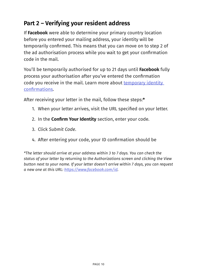### **Part 2 – Verifying your resident address**

If **Facebook** were able to determine your primary country location before you entered your mailing address, your identity will be temporarily confirmed. This means that you can move on to step 2 of the ad authorisation process while you wait to get your confirmation code in the mail.

You'll be temporarily authorised for up to 21 days until **Facebook** fully process your authorisation after you've entered the confirmation code you receive in the mail. Learn more about [temporary identity](https://www.facebook.com/business/help/167013020641137?id=288762101909005)  [confirmations](https://www.facebook.com/business/help/167013020641137?id=288762101909005).

After receiving your letter in the mail, follow these steps:**\***

- 1. When your letter arrives, visit the URL specified on your letter.
- 2. In the **Confirm Your Identity** section, enter your code.
- 3. Click *Submit Code*.
- 4. After entering your code, your ID confirmation should be

*\*The letter should arrive at your address within 3 to 7 days. You can check the status of your letter by returning to the Authorizations screen and clicking the View button next to your name. If your letter doesn't arrive within 7 days, you can request a new one at this URL:<https://www.facebook.com/id>.*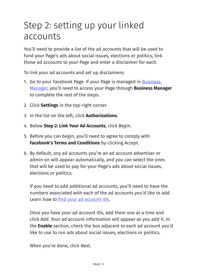# Step 2: setting up your linked accounts

You'll need to provide a list of the ad accounts that will be used to fund your Page's ads about social issues, elections or politics, link those ad accounts to your Page and enter a disclaimer for each.

To link your ad accounts and set up disclaimers:

- 1. Go to your Facebook Page. If your Page is managed in Business [Manager](https://business.facebook.com/), you'll need to access your Page through **Business Manager** to complete the rest of the steps.
- 2. Click **Settings** in the top-right corner.
- 3. In the list on the left, click **Authorizations**.
- 4. Below **Step 2: Link Your Ad Accounts**, click *Begin*.
- 5. Before you can begin, you'll need to agree to comply with **Facebook's Terms and Conditions** by clicking *Accept*.
- 6. By default, any ad accounts you're an ad account advertiser or admin on will appear automatically, and you can select the ones that will be used to pay for your Page's ads about social issues, elections or politics.

If you need to add additional ad accounts, you'll need to have the numbers associated with each of the ad accounts you'd like to add. Learn how to [find your ad account IDs](https://www.facebook.com/business/help/1492627900875762?helpref=faq_content).

Once you have your ad account IDs, add them one at a time and click *Add*. Your ad account information will appear as you add it. In the **Enable** section, check the box adjacent to each ad account you'd like to use to run ads about social issues, elections or politics.

When you're done, click *Next*.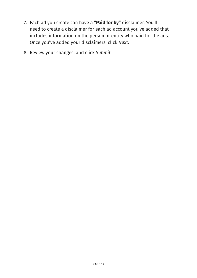- 7. Each ad you create can have a **"Paid for by"** disclaimer. You'll need to create a disclaimer for each ad account you've added that includes information on the person or entity who paid for the ads. Once you've added your disclaimers, click *Next*.
- 8. Review your changes, and click *Submit*.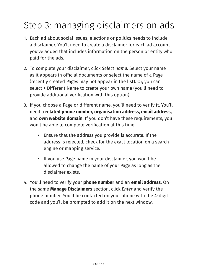# Step 3: managing disclaimers on ads

- 1. Each ad about social issues, elections or politics needs to include a disclaimer. You'll need to create a disclaimer for each ad account you've added that includes information on the person or entity who paid for the ads.
- 2. To complete your disclaimer, click *Select name*. Select your name as it appears in official documents or select the name of a Page (recently created Pages may not appear in the list). Or, you can select + Different Name to create your own name (you'll need to provide additional verification with this option).
- 3. If you choose a Page or different name, you'll need to verify it. You'll need a **related phone number, organisation address, email address,**  and **own website domain**. If you don't have these requirements, you won't be able to complete verification at this time.
	- Ensure that the address you provide is accurate. If the address is rejected, check for the exact location on a search engine or mapping service.
	- If you use Page name in your disclaimer, you won't be allowed to change the name of your Page as long as the disclaimer exists.
- 4. You'll need to verify your **phone number** and an **email address**. On the same **Manage Disclaimers** section, click *Enter* and verify the phone number. You'll be contacted on your phone with the 4-digit code and you'll be prompted to add it on the next window.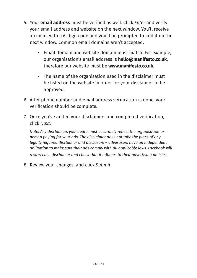- 5. Your **email address** must be verified as well. Click *Enter* and verify your email address and website on the next window. You'll receive an email with a 6-digit code and you'll be prompted to add it on the next window. Common email domains aren't accepted.
	- Email domain and website domain must match. For example, our organisation's email address is **hello@manifesto.co.uk**, therefore our website must be **www.manifesto.co.uk**.
	- The name of the organisation used in the disclaimer must be listed on the website in order for your disclaimer to be approved.
- 6. After phone number and email address verification is done, your verification should be complete.
- 7. Once you've added your disclaimers and completed verification, click *Next*.

*Note: Any disclaimers you create must accurately reflect the organisation or person paying for your ads. The disclaimer does not take the place of any legally required disclaimer and disclosure – advertisers have an independent obligation to make sure their ads comply with all applicable laws. Facebook will review each disclaimer and check that it adheres to their advertising policies.*

8. Review your changes, and click *Submit*.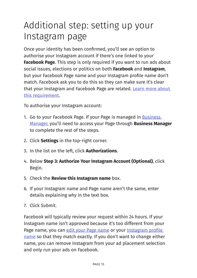# Additional step: setting up your Instagram page

Once your identity has been confirmed, you'll see an option to authorise your Instagram account if there's one linked to your **Facebook Page**. This step is only required if you want to run ads about social issues, elections or politics on both **Facebook** and **Instagram**, but your Facebook Page name and your Instagram profile name don't match. Facebook ask you to do this so they can make sure it's clear that your Instagram and Facebook Page are related. Learn more about [this requirement](https://www.facebook.com/business/help/597258763977273?id=288762101909005).

To authorise your Instagram account:

- 1. Go to your Facebook Page. If your Page is managed in **Business** [Manager](https://business.facebook.com/), you'll need to access your Page through **Business Manager** to complete the rest of the steps.
- 2. Click **Settings** in the top-right corner.
- 3. In the list on the left, click **Authorizations**.
- 4. Below **Step 3: Authorize Your Instagram Account (Optional)**, click Begin.
- 5. Check the **Review this Instagram name** box.
- 6. If your Instagram name and Page name aren't the same, enter details explaining why in the text box.
- 7. Click *Submit*.

Facebook will typically review your request within 24 hours. If your Instagram name isn't approved because it's too different from your Page name, you can [edit your Page name](https://www.facebook.com/help/271607792873806) or your Instagram profile [name](https://help.instagram.com/583107688369069) so that they match exactly. If you don't want to change either name, you can remove Instagram from your ad placement selection and only run your ads on Facebook.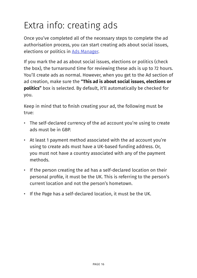# Extra info: creating ads

Once you've completed all of the necessary steps to complete the ad authorisation process, you can start creating ads about social issues, elections or politics in [Ads Manager](https://www.facebook.com/ads/manager).

If you mark the ad as about social issues, elections or politics (check the box), the turnaround time for reviewing these ads is up to 72 hours. You'll create ads as normal. However, when you get to the Ad section of ad creation, make sure the **"This ad is about social issues, elections or politics"** box is selected. By default, it'll automatically be checked for you.

Keep in mind that to finish creating your ad, the following must be true:

- The self-declared currency of the ad account you're using to create ads must be in GBP.
- At least 1 payment method associated with the ad account you're using to create ads must have a UK-based funding address. Or, you must not have a country associated with any of the payment methods.
- If the person creating the ad has a self-declared location on their personal profile, it must be the UK. This is referring to the person's current location and not the person's hometown.
- If the Page has a self-declared location, it must be the UK.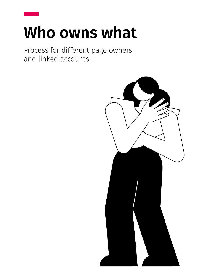# **Who owns what**

Process for different page owners and linked accounts

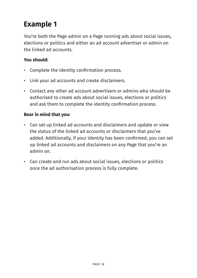## **Example 1**

You're both the Page admin on a Page running ads about social issues, elections or politics and either an ad account advertiser or admin on the linked ad accounts.

#### **You should:**

- Complete the identity confirmation process.
- Link your ad accounts and create disclaimers.
- Contact any other ad account advertisers or admins who should be authorised to create ads about social issues, elections or politics and ask them to complete the identity confirmation process.

#### **Bear in mind that you:**

- Can set up linked ad accounts and disclaimers and update or view the status of the linked ad accounts or disclaimers that you've added. Additionally, if your identity has been confirmed, you can set up linked ad accounts and disclaimers on any Page that you're an admin on.
- Can create and run ads about social issues, elections or politics once the ad authorisation process is fully complete.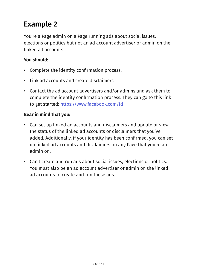## **Example 2**

You're a Page admin on a Page running ads about social issues, elections or politics but not an ad account advertiser or admin on the linked ad accounts.

#### **You should:**

- Complete the identity confirmation process.
- Link ad accounts and create disclaimers.
- Contact the ad account advertisers and/or admins and ask them to complete the identity confirmation process. They can go to this link to get started: <https://www.facebook.com/id>

#### **Bear in mind that you:**

- Can set up linked ad accounts and disclaimers and update or view the status of the linked ad accounts or disclaimers that you've added. Additionally, if your identity has been confirmed, you can set up linked ad accounts and disclaimers on any Page that you're an admin on.
- Can't create and run ads about social issues, elections or politics. You must also be an ad account advertiser or admin on the linked ad accounts to create and run these ads.